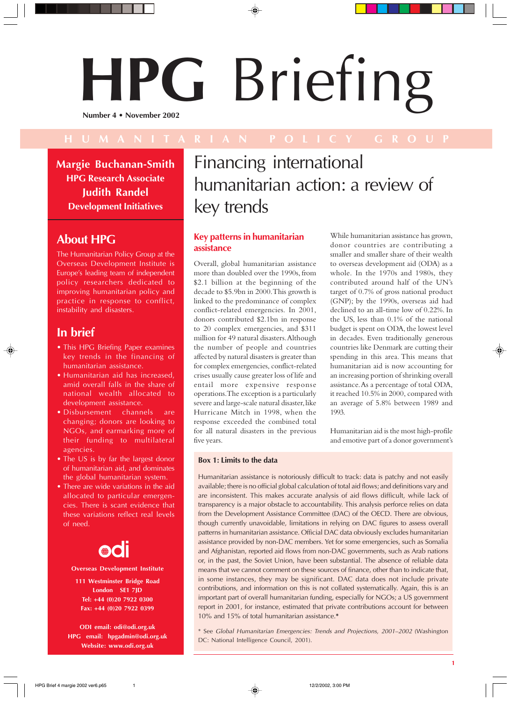# **HPG** Briefing **Number 4 • November 2002**

**Margie Buchanan-Smith HPG Research Associate Judith Randel Development Initiatives**

### **About HPG**

The Humanitarian Policy Group at the Overseas Development Institute is Europe's leading team of independent policy researchers dedicated to improving humanitarian policy and practice in response to conflict, instability and disasters.

#### **In brief**

- This HPG Briefing Paper examines key trends in the financing of humanitarian assistance.
- Humanitarian aid has increased, amid overall falls in the share of national wealth allocated to development assistance.
- Disbursement channels are changing; donors are looking to NGOs, and earmarking more of their funding to multilateral agencies.
- The US is by far the largest donor of humanitarian aid, and dominates the global humanitarian system.
- There are wide variations in the aid allocated to particular emergencies. There is scant evidence that these variations reflect real levels of need.

## OOI

**Overseas Development Institute**

**111 Westminster Bridge Road London SE1 7JD Tel: +44 (0)20 7922 0300 Fax: +44 (0)20 7922 0399**

**ODI email: odi@odi.org.uk HPG email: hpgadmin@odi.org.uk Website: www.odi.org.uk**

### Financing international humanitarian action: a review of key trends

#### **Key patterns in humanitarian assistance**

Overall, global humanitarian assistance more than doubled over the 1990s, from \$2.1 billion at the beginning of the decade to \$5.9bn in 2000. This growth is linked to the predominance of complex conflict-related emergencies. In 2001, donors contributed \$2.1bn in response to 20 complex emergencies, and \$311 million for 49 natural disasters. Although the number of people and countries affected by natural disasters is greater than for complex emergencies, conflict-related crises usually cause greater loss of life and entail more expensive response operations. The exception is a particularly severe and large-scale natural disaster, like Hurricane Mitch in 1998, when the response exceeded the combined total for all natural disasters in the previous five years.

While humanitarian assistance has grown, donor countries are contributing a smaller and smaller share of their wealth to overseas development aid (ODA) as a whole. In the 1970s and 1980s, they contributed around half of the UN's target of 0.7% of gross national product (GNP); by the 1990s, overseas aid had declined to an all-time low of 0.22%. In the US, less than 0.1% of the national budget is spent on ODA, the lowest level in decades. Even traditionally generous countries like Denmark are cutting their spending in this area. This means that humanitarian aid is now accounting for an increasing portion of shrinking overall assistance. As a percentage of total ODA, it reached 10.5% in 2000, compared with an average of 5.8% between 1989 and 1993.

Humanitarian aid is the most high-profile and emotive part of a donor government's

**1**

#### **Box 1: Limits to the data**

Humanitarian assistance is notoriously difficult to track: data is patchy and not easily available; there is no official global calculation of total aid flows; and definitions vary and are inconsistent. This makes accurate analysis of aid flows difficult, while lack of transparency is a major obstacle to accountability. This analysis perforce relies on data from the Development Assistance Committee (DAC) of the OECD. There are obvious, though currently unavoidable, limitations in relying on DAC figures to assess overall patterns in humanitarian assistance. Official DAC data obviously excludes humanitarian assistance provided by non-DAC members. Yet for some emergencies, such as Somalia and Afghanistan, reported aid flows from non-DAC governments, such as Arab nations or, in the past, the Soviet Union, have been substantial. The absence of reliable data means that we cannot comment on these sources of finance, other than to indicate that, in some instances, they may be significant. DAC data does not include private contributions, and information on this is not collated systematically. Again, this is an important part of overall humanitarian funding, especially for NGOs; a US government report in 2001, for instance, estimated that private contributions account for between 10% and 15% of total humanitarian assistance.**\***

\* See Global Humanitarian Emergencies: Trends and Projections, 2001–2002 (Washington DC: National Intelligence Council, 2001).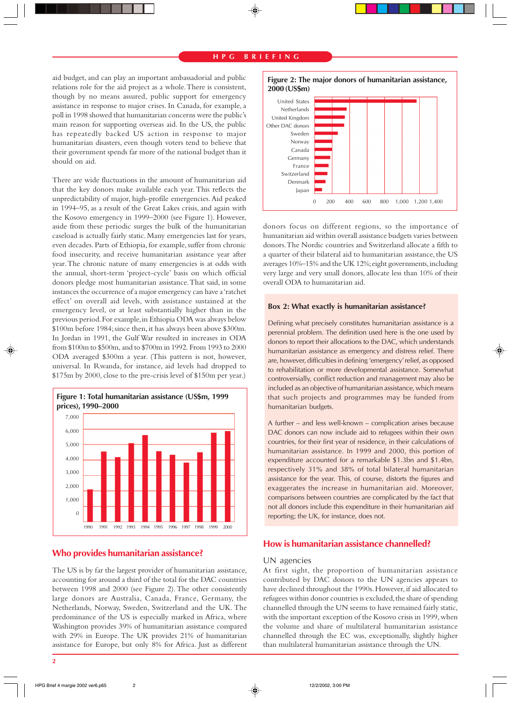#### **H P G B R I E F I N G**

aid budget, and can play an important ambassadorial and public relations role for the aid project as a whole. There is consistent, though by no means assured, public support for emergency assistance in response to major crises. In Canada, for example, a poll in 1998 showed that humanitarian concerns were the public's main reason for supporting overseas aid. In the US, the public has repeatedly backed US action in response to major humanitarian disasters, even though voters tend to believe that their government spends far more of the national budget than it should on aid.

There are wide fluctuations in the amount of humanitarian aid that the key donors make available each year. This reflects the unpredictability of major, high-profile emergencies. Aid peaked in 1994–95, as a result of the Great Lakes crisis, and again with the Kosovo emergency in 1999–2000 (see Figure 1). However, aside from these periodic surges the bulk of the humanitarian caseload is actually fairly static. Many emergencies last for years, even decades. Parts of Ethiopia, for example, suffer from chronic food insecurity, and receive humanitarian assistance year after year. The chronic nature of many emergencies is at odds with the annual, short-term 'project-cycle' basis on which official donors pledge most humanitarian assistance. That said, in some instances the occurrence of a major emergency can have a 'ratchet effect' on overall aid levels, with assistance sustained at the emergency level, or at least substantially higher than in the previous period. For example, in Ethiopia ODA was always below \$100m before 1984; since then, it has always been above \$300m. In Jordan in 1991, the Gulf War resulted in increases in ODA from \$100m to \$500m, and to \$700m in 1992. From 1993 to 2000 ODA averaged \$300m a year. (This pattern is not, however, universal. In Rwanda, for instance, aid levels had dropped to \$175m by 2000, close to the pre-crisis level of \$150m per year.)



#### **Who provides humanitarian assistance?**

The US is by far the largest provider of humanitarian assistance, accounting for around a third of the total for the DAC countries between 1998 and 2000 (see Figure 2). The other consistently large donors are Australia, Canada, France, Germany, the Netherlands, Norway, Sweden, Switzerland and the UK. The predominance of the US is especially marked in Africa, where Washington provides 39% of humanitarian assistance compared with 29% in Europe. The UK provides 21% of humanitarian assistance for Europe, but only 8% for Africa. Just as different



donors focus on different regions, so the importance of humanitarian aid within overall assistance budgets varies between donors. The Nordic countries and Switzerland allocate a fifth to a quarter of their bilateral aid to humanitarian assistance, the US averages 10%–15% and the UK 12%; eight governments, including very large and very small donors, allocate less than 10% of their overall ODA to humanitarian aid.

#### **Box 2: What exactly is humanitarian assistance?**

Defining what precisely constitutes humanitarian assistance is a perennial problem. The definition used here is the one used by donors to report their allocations to the DAC, which understands humanitarian assistance as emergency and distress relief. There are, however, difficulties in defining 'emergency' relief, as opposed to rehabilitation or more developmental assistance. Somewhat controversially, conflict reduction and management may also be included as an objective of humanitarian assistance, which means that such projects and programmes may be funded from humanitarian budgets.

A further – and less well-known – complication arises because DAC donors can now include aid to refugees within their own countries, for their first year of residence, in their calculations of humanitarian assistance. In 1999 and 2000, this portion of expenditure accounted for a remarkable \$1.3bn and \$1.4bn, respectively 31% and 38% of total bilateral humanitarian assistance for the year. This, of course, distorts the figures and exaggerates the increase in humanitarian aid. Moreover, comparisons between countries are complicated by the fact that not all donors include this expenditure in their humanitarian aid reporting; the UK, for instance, does not.

#### **How is humanitarian assistance channelled?**

#### UN agencies

At first sight, the proportion of humanitarian assistance contributed by DAC donors to the UN agencies appears to have declined throughout the 1990s. However, if aid allocated to refugees within donor countries is excluded, the share of spending channelled through the UN seems to have remained fairly static, with the important exception of the Kosovo crisis in 1999, when the volume and share of multilateral humanitarian assistance channelled through the EC was, exceptionally, slightly higher than multilateral humanitarian assistance through the UN.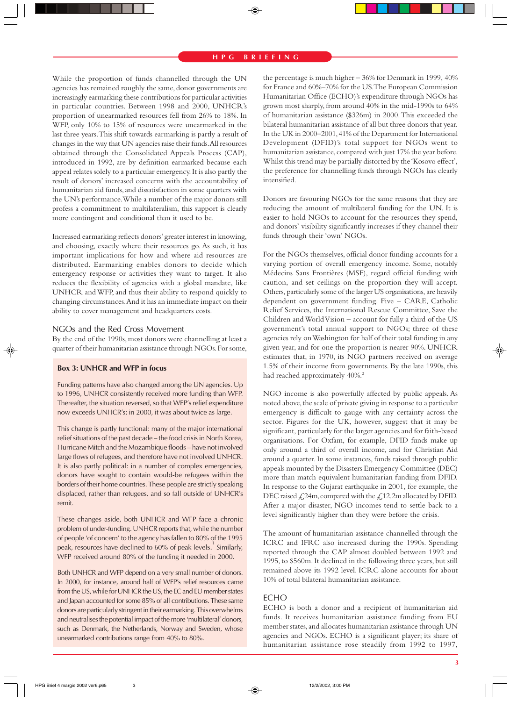While the proportion of funds channelled through the UN agencies has remained roughly the same, donor governments are increasingly earmarking these contributions for particular activities in particular countries. Between 1998 and 2000, UNHCR's proportion of unearmarked resources fell from 26% to 18%. In WFP, only 10% to 15% of resources were unearmarked in the last three years. This shift towards earmarking is partly a result of changes in the way that UN agencies raise their funds. All resources obtained through the Consolidated Appeals Process (CAP), introduced in 1992, are by definition earmarked because each appeal relates solely to a particular emergency. It is also partly the result of donors' increased concerns with the accountability of humanitarian aid funds, and dissatisfaction in some quarters with the UN's performance. While a number of the major donors still profess a commitment to multilateralism, this support is clearly more contingent and conditional than it used to be.

Increased earmarking reflects donors' greater interest in knowing, and choosing, exactly where their resources go. As such, it has important implications for how and where aid resources are distributed. Earmarking enables donors to decide which emergency response or activities they want to target. It also reduces the flexibility of agencies with a global mandate, like UNHCR and WFP, and thus their ability to respond quickly to changing circumstances. And it has an immediate impact on their ability to cover management and headquarters costs.

#### NGOs and the Red Cross Movement

By the end of the 1990s, most donors were channelling at least a quarter of their humanitarian assistance through NGOs. For some,

#### **Box 3: UNHCR and WFP in focus**

Funding patterns have also changed among the UN agencies. Up to 1996, UNHCR consistently received more funding than WFP. Thereafter, the situation reversed, so that WFP's relief expenditure now exceeds UNHCR's; in 2000, it was about twice as large.

This change is partly functional: many of the major international relief situations of the past decade – the food crisis in North Korea, Hurricane Mitch and the Mozambique floods – have not involved large flows of refugees, and therefore have not involved UNHCR. It is also partly political: in a number of complex emergencies, donors have sought to contain would-be refugees within the borders of their home countries. These people are strictly speaking displaced, rather than refugees, and so fall outside of UNHCR's remit.

These changes aside, both UNHCR and WFP face a chronic problem of under-funding. UNHCR reports that, while the number of people 'of concern' to the agency has fallen to 80% of the 1995 peak, resources have declined to 60% of peak levels.<sup>1</sup> Similarly, WFP received around 80% of the funding it needed in 2000.

Both UNHCR and WFP depend on a very small number of donors. In 2000, for instance, around half of WFP's relief resources came from the US, while for UNHCR the US, the EC and EU member states and Japan accounted for some 85% of all contributions. These same donors are particularly stringent in their earmarking. This overwhelms and neutralises the potential impact of the more 'multilateral' donors, such as Denmark, the Netherlands, Norway and Sweden, whose unearmarked contributions range from 40% to 80%.

the percentage is much higher – 36% for Denmark in 1999, 40% for France and 60%–70% for the US. The European Commission Humanitarian Office (ECHO)'s expenditure through NGOs has grown most sharply, from around 40% in the mid-1990s to 64% of humanitarian assistance (\$326m) in 2000. This exceeded the bilateral humanitarian assistance of all but three donors that year. In the UK in 2000–2001, 41% of the Department for International Development (DFID)'s total support for NGOs went to humanitarian assistance, compared with just 17% the year before. Whilst this trend may be partially distorted by the 'Kosovo effect', the preference for channelling funds through NGOs has clearly intensified.

Donors are favouring NGOs for the same reasons that they are reducing the amount of multilateral funding for the UN. It is easier to hold NGOs to account for the resources they spend, and donors' visibility significantly increases if they channel their funds through their 'own' NGOs.

For the NGOs themselves, official donor funding accounts for a varying portion of overall emergency income. Some, notably Médecins Sans Frontières (MSF), regard official funding with caution, and set ceilings on the proportion they will accept. Others, particularly some of the larger US organisations, are heavily dependent on government funding. Five – CARE, Catholic Relief Services, the International Rescue Committee, Save the Children and World Vision – account for fully a third of the US government's total annual support to NGOs; three of these agencies rely on Washington for half of their total funding in any given year, and for one the proportion is nearer 90%. UNHCR estimates that, in 1970, its NGO partners received on average 1.5% of their income from governments. By the late 1990s, this had reached approximately 40%.<sup>2</sup>

NGO income is also powerfully affected by public appeals. As noted above, the scale of private giving in response to a particular emergency is difficult to gauge with any certainty across the sector. Figures for the UK, however, suggest that it may be significant, particularly for the larger agencies and for faith-based organisations. For Oxfam, for example, DFID funds make up only around a third of overall income, and for Christian Aid around a quarter. In some instances, funds raised through public appeals mounted by the Disasters Emergency Committee (DEC) more than match equivalent humanitarian funding from DFID. In response to the Gujarat earthquake in 2001, for example, the DEC raised  $\angle$ 24m, compared with the  $\angle$ 12.2m allocated by DFID. After a major disaster, NGO incomes tend to settle back to a level significantly higher than they were before the crisis.

The amount of humanitarian assistance channelled through the ICRC and IFRC also increased during the 1990s. Spending reported through the CAP almost doubled between 1992 and 1995, to \$560m. It declined in the following three years, but still remained above its 1992 level. ICRC alone accounts for about 10% of total bilateral humanitarian assistance.

#### **FCHO**

ECHO is both a donor and a recipient of humanitarian aid funds. It receives humanitarian assistance funding from EU member states, and allocates humanitarian assistance through UN agencies and NGOs. ECHO is a significant player; its share of humanitarian assistance rose steadily from 1992 to 1997,